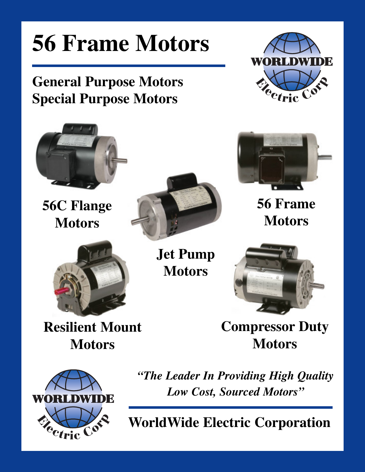### **56 Frame Motors WORLDW General Purpose Motors**  $C^{\circ}$ <sup>e</sup>ctric **Special Purpose Motors 56 Frame 56C Flange Motors MotorsJet Pump Motors Resilient Mount Compressor Duty Motors Motors** *"The Leader In Providing High Quality Low Cost, Sourced Motors"* **WORLDW** DE

Cetric

**WorldWide Electric Corporation**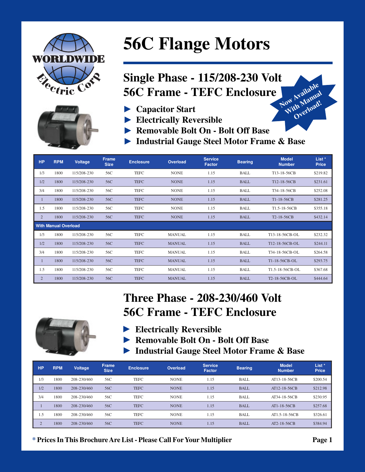



# **56C Flange Motors**

#### **Single Phase - 115/208-230 Volt** Now Available With Manual **56C Frame - TEFC Enclosure**

- Capacitor Start
- Electrically Reversible
- Removable Bolt On Bolt Off Base
- Industrial Gauge Steel Motor Frame & Base

| <b>HP</b>      | <b>RPM</b>                  | Voltage     | <b>Frame</b><br><b>Size</b> | <b>Enclosure</b> | <b>Overload</b> | <b>Service</b><br><b>Factor</b> | <b>Bearing</b> | <b>Model</b><br><b>Number</b> | List *<br><b>Price</b> |
|----------------|-----------------------------|-------------|-----------------------------|------------------|-----------------|---------------------------------|----------------|-------------------------------|------------------------|
| 1/3            | 1800                        | 115/208-230 | 56C                         | <b>TEFC</b>      | <b>NONE</b>     | 1.15                            | <b>BALL</b>    | T13-18-56CB                   | \$219.82               |
| 1/2            | 1800                        | 115/208-230 | 56C                         | <b>TEFC</b>      | <b>NONE</b>     | 1.15                            | <b>BALL</b>    | T12-18-56CB                   | \$231.61               |
| 3/4            | 1800                        | 115/208-230 | 56C                         | TEFC             | <b>NONE</b>     | 1.15                            | BALL           | T34-18-56CB                   | \$252.08               |
| 1              | 1800                        | 115/208-230 | 56C                         | <b>TEFC</b>      | <b>NONE</b>     | 1.15                            | <b>BALL</b>    | T1-18-56CB                    | \$281.25               |
| 1.5            | 1800                        | 115/208-230 | 56C                         | <b>TEFC</b>      | <b>NONE</b>     | 1.15                            | BALL           | T <sub>1.5</sub> -18-56CB     | \$355.18               |
| $\overline{2}$ | 1800                        | 115/208-230 | 56C                         | <b>TEFC</b>      | <b>NONE</b>     | 1.15                            | <b>BALL</b>    | T <sub>2</sub> -18-56CB       | \$432.14               |
|                | <b>With Manual Overload</b> |             |                             |                  |                 |                                 |                |                               |                        |
| 1/3            | 1800                        | 115/208-230 | 56C                         | <b>TEFC</b>      | <b>MANUAL</b>   | 1.15                            | <b>BALL</b>    | T13-18-56CB-OL                | \$232.32               |
| 1/2            | 1800                        | 115/208-230 | 56C                         | <b>TEFC</b>      | <b>MANUAL</b>   | 1.15                            | <b>BALL</b>    | T12-18-56CB-OL                | \$244.11               |
| 3/4            | 1800                        | 115/208-230 | 56C                         | <b>TEFC</b>      | <b>MANUAL</b>   | 1.15                            | <b>BALL</b>    | T34-18-56CB-OL                | \$264.58               |
| 1              | 1800                        | 115/208-230 | 56C                         | <b>TEFC</b>      | <b>MANUAL</b>   | 1.15                            | <b>BALL</b>    | T1-18-56CB-OL                 | \$293.75               |
| 1.5            | 1800                        | 115/208-230 | 56C                         | <b>TEFC</b>      | <b>MANUAL</b>   | 1.15                            | <b>BALL</b>    | T1.5-18-56CB-OL               | \$367.68               |
| $\overline{2}$ | 1800                        | 115/208-230 | 56C                         | <b>TEFC</b>      | <b>MANUAL</b>   | 1.15                            | <b>BALL</b>    | T2-18-56CB-OL                 | \$444.64               |

### **Three Phase - 208-230/460 Volt 56C Frame - TEFC Enclosure**

- Electrically Reversible
- Removable Bolt On Bolt Off Base
- Industrial Gauge Steel Motor Frame & Base

| <b>HP</b> | <b>RPM</b> | Voltage     | <b>Frame</b><br><b>Size</b> | <b>Enclosure</b> | <b>Overload</b> | <b>Service</b><br><b>Factor</b> | <b>Bearing</b> | <b>Model</b><br><b>Number</b> | List <sup>*</sup><br><b>Price</b> |
|-----------|------------|-------------|-----------------------------|------------------|-----------------|---------------------------------|----------------|-------------------------------|-----------------------------------|
| 1/3       | 1800       | 208-230/460 | 56C                         | <b>TEFC</b>      | <b>NONE</b>     | 1.15                            | <b>BALL</b>    | AT13-18-56CB                  | \$200.54                          |
| 1/2       | 1800       | 208-230/460 | 56C                         | <b>TEFC</b>      | <b>NONE</b>     | 1.15                            | <b>BALL</b>    | AT12-18-56CB                  | \$212.98                          |
| 3/4       | 1800       | 208-230/460 | 56C                         | <b>TEFC</b>      | <b>NONE</b>     | 1.15                            | <b>BALL</b>    | AT34-18-56CB                  | \$230.95                          |
|           | 1800       | 208-230/460 | 56C                         | <b>TEFC</b>      | <b>NONE</b>     | 1.15                            | <b>BALL</b>    | AT1-18-56CB                   | \$257.68                          |
| 1.5       | 1800       | 208-230/460 | 56C                         | <b>TEFC</b>      | <b>NONE</b>     | 1.15                            | <b>BALL</b>    | AT1.5-18-56CB                 | \$326.61                          |
| $\bigcap$ | 1800       | 208-230/460 | 56C                         | <b>TEFC</b>      | <b>NONE</b>     | 1.15                            | <b>BALL</b>    | AT2-18-56CB                   | \$384.94                          |

\* Prices In This Brochure Are List - Please Call For Your Multiplier

Overload!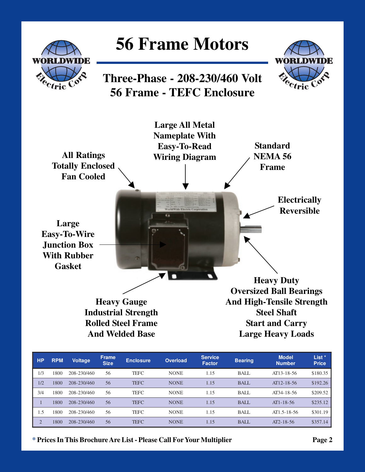

| <b>HP</b>      | <b>RPM</b> | <b>Voltage</b> | <b>Frame</b><br><b>Size</b> | <b>Enclosure</b> | <b>Overload</b> | <b>Service</b><br><b>Factor</b> | <b>Bearing</b> | <b>Model</b><br><b>Number</b> | List <sup>*</sup><br><b>Price</b> |
|----------------|------------|----------------|-----------------------------|------------------|-----------------|---------------------------------|----------------|-------------------------------|-----------------------------------|
| 1/3            | 1800       | 208-230/460    | 56                          | <b>TEFC</b>      | <b>NONE</b>     | 1.15                            | BALL           | AT13-18-56                    | \$180.35                          |
| 1/2            | 1800       | 208-230/460    | 56                          | <b>TEFC</b>      | <b>NONE</b>     | 1.15                            | <b>BALL</b>    | AT12-18-56                    | \$192.26                          |
| 3/4            | 1800       | 208-230/460    | 56                          | <b>TEFC</b>      | <b>NONE</b>     | 1.15                            | BALL           | AT34-18-56                    | \$209.52                          |
|                | 1800       | 208-230/460    | 56                          | <b>TEFC</b>      | <b>NONE</b>     | 1.15                            | <b>BALL</b>    | $AT1 - 18 - 56$               | \$235.12                          |
| 1.5            | 1800       | 208-230/460    | 56                          | <b>TEFC</b>      | <b>NONE</b>     | 1.15                            | BALL           | $AT1.5 - 18 - 56$             | \$301.19                          |
| $\overline{2}$ | 1800       | 208-230/460    | 56                          | <b>TEFC</b>      | <b>NONE</b>     | 1.15                            | <b>BALL</b>    | $AT2-18-56$                   | \$357.14                          |

**\* Prices In This Brochure Are List - Please Call For Your Multiplier Page 2**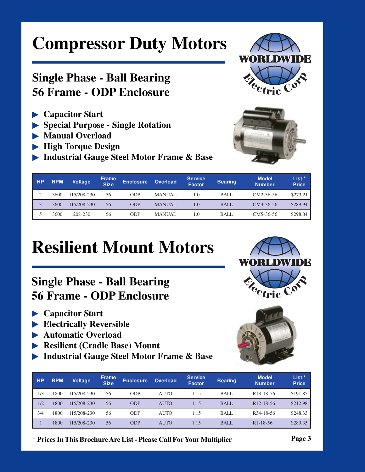# **Compressor Duty Motors**

#### **Single Phase - Ball Bearing 56 Frame - ODP Enclosure**

- **Capacitor Start**
- **Special Purpose Single Rotation**
- **Manual Overload**
- **High Torque Design**
- **Industrial Gauge Steel Motor Frame & Base**





| <b>HP</b> | <b>RPM</b> | <b>Voltage</b> | <b>Frame</b><br><b>Size</b> | <b>Enclosure</b> | <b>Overload</b> | <b>Service</b><br><b>Factor</b> | <b>Bearing</b> | <b>Model</b><br><b>Number</b> | List *<br><b>Price</b> |
|-----------|------------|----------------|-----------------------------|------------------|-----------------|---------------------------------|----------------|-------------------------------|------------------------|
|           | 3600       | 115/208-230    | 56                          | ODP              | <b>MANUAL</b>   | $\cdot$ 0                       | BALL           | $CM2-36-56$                   | \$273.21               |
|           | 3600       | 115/208-230    | 56                          | ODP              | <b>MANUAL</b>   | 1.0                             | BALL           | $CM3-36-56$                   | \$289.94               |
|           | 3600       | 208-230        | 56                          | ODP              | <b>MANUAL</b>   | 1.0                             | <b>BALL</b>    | $CM5-36-56$                   | \$298.04               |

# **Resilient Mount Motors**

### **Single Phase - Ball Bearing 56 Frame - ODP Enclosure**

- **Capacitor Start**
- **Electrically Reversible**
- **Automatic Overload**
- **Resilient (Cradle Base) Mount**
- **Industrial Gauge Steel Motor Frame & Base**



**\* Prices In This Brochure Are List - Please Call For Your Multiplier Page 3**



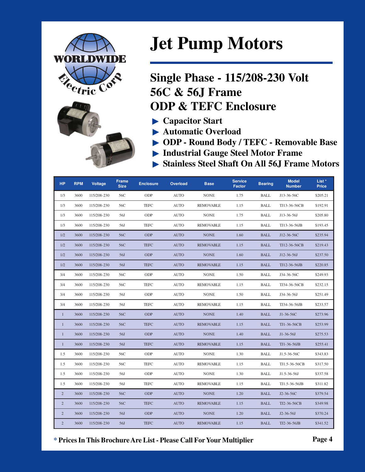



### **Jet Pump Motors**

### **Single Phase - 115/208-230 Volt 56C & 56J Frame ODP & TEFC Enclosure**

- $\blacktriangleright$  Capacitor Start
- Automatic Overload
- ODP Round Body / TEFC Removable Base
- Industrial Gauge Steel Motor Frame
- Stainless Steel Shaft On All 56J Frame Motors

| <b>HP</b>      | <b>RPM</b> | Voltage     | <b>Frame</b><br><b>Size</b> | <b>Enclosure</b> | <b>Overload</b> | <b>Base</b>      | <b>Service</b><br><b>Factor</b> | <b>Bearing</b> | <b>Model</b><br><b>Number</b> | List *<br><b>Price</b> |
|----------------|------------|-------------|-----------------------------|------------------|-----------------|------------------|---------------------------------|----------------|-------------------------------|------------------------|
| 1/3            | 3600       | 115/208-230 | 56C                         | ODP              | <b>AUTO</b>     | <b>NONE</b>      | 1.75                            | <b>BALL</b>    | J13-36-56C                    | \$205.21               |
| 1/3            | 3600       | 115/208-230 | 56C                         | <b>TEFC</b>      | <b>AUTO</b>     | <b>REMOVABLE</b> | 1.15                            | BALL           | TJ13-36-56CB                  | \$192.91               |
| 1/3            | 3600       | 115/208-230 | 56J                         | ODP              | <b>AUTO</b>     | <b>NONE</b>      | 1.75                            | BALL           | J13-36-56J                    | \$205.80               |
| 1/3            | 3600       | 115/208-230 | 56J                         | <b>TEFC</b>      | <b>AUTO</b>     | <b>REMOVABLE</b> | 1.15                            | <b>BALL</b>    | TJ13-36-56JB                  | \$193.45               |
| 1/2            | 3600       | 115/208-230 | 56C                         | <b>ODP</b>       | <b>AUTO</b>     | <b>NONE</b>      | 1.60                            | <b>BALL</b>    | J12-36-56C                    | \$235.94               |
| 1/2            | 3600       | 115/208-230 | 56C                         | <b>TEFC</b>      | <b>AUTO</b>     | <b>REMOVABLE</b> | 1.15                            | BALL           | TJ12-36-56CB                  | \$219.43               |
| 1/2            | 3600       | 115/208-230 | 56J                         | <b>ODP</b>       | <b>AUTO</b>     | <b>NONE</b>      | 1.60                            | <b>BALL</b>    | J12-36-56J                    | \$237.50               |
| 1/2            | 3600       | 115/208-230 | 56J                         | <b>TEFC</b>      | <b>AUTO</b>     | <b>REMOVABLE</b> | 1.15                            | <b>BALL</b>    | TJ12-36-56JB                  | \$220.85               |
| 3/4            | 3600       | 115/208-230 | 56C                         | ODP              | <b>AUTO</b>     | <b>NONE</b>      | 1.50                            | BALL           | J34-36-56C                    | \$249.93               |
| 3/4            | 3600       | 115/208-230 | 56C                         | <b>TEFC</b>      | <b>AUTO</b>     | <b>REMOVABLE</b> | 1.15                            | <b>BALL</b>    | TJ34-36-56CB                  | \$232.15               |
| 3/4            | 3600       | 115/208-230 | 56J                         | ODP              | <b>AUTO</b>     | <b>NONE</b>      | 1.50                            | <b>BALL</b>    | J34-36-56J                    | \$251.49               |
| 3/4            | 3600       | 115/208-230 | 56J                         | <b>TEFC</b>      | <b>AUTO</b>     | <b>REMOVABLE</b> | 1.15                            | <b>BALL</b>    | TJ34-36-56JB                  | \$233.57               |
| $\mathbf{1}$   | 3600       | 115/208-230 | 56C                         | <b>ODP</b>       | <b>AUTO</b>     | <b>NONE</b>      | 1.40                            | <b>BALL</b>    | J1-36-56C                     | \$273.96               |
| $\mathbf{1}$   | 3600       | 115/208-230 | 56C                         | <b>TEFC</b>      | <b>AUTO</b>     | <b>REMOVABLE</b> | 1.15                            | <b>BALL</b>    | TJ1-36-56CB                   | \$253.99               |
| $\mathbf{1}$   | 3600       | 115/208-230 | 56J                         | <b>ODP</b>       | <b>AUTO</b>     | <b>NONE</b>      | 1.40                            | <b>BALL</b>    | $J1-36-56J$                   | \$275.53               |
| $\mathbf{1}$   | 3600       | 115/208-230 | 56J                         | <b>TEFC</b>      | <b>AUTO</b>     | <b>REMOVABLE</b> | 1.15                            | <b>BALL</b>    | TJ1-36-56JB                   | \$255.41               |
| 1.5            | 3600       | 115/208-230 | 56C                         | ODP              | <b>AUTO</b>     | <b>NONE</b>      | 1.30                            | <b>BALL</b>    | J1.5-36-56C                   | \$343.83               |
| 1.5            | 3600       | 115/208-230 | 56C                         | TEFC             | <b>AUTO</b>     | <b>REMOVABLE</b> | 1.15                            | <b>BALL</b>    | TJ1.5-36-56CB                 | \$317.50               |
| 1.5            | 3600       | 115/208-230 | 56J                         | ODP              | <b>AUTO</b>     | <b>NONE</b>      | 1.30                            | BALL           | J1.5-36-56J                   | \$337.58               |
| 1.5            | 3600       | 115/208-230 | 56J                         | <b>TEFC</b>      | <b>AUTO</b>     | <b>REMOVABLE</b> | 1.15                            | <b>BALL</b>    | TJ1.5-36-56JB                 | \$311.82               |
| $\overline{2}$ | 3600       | 115/208-230 | 56C                         | <b>ODP</b>       | <b>AUTO</b>     | <b>NONE</b>      | 1.20                            | <b>BALL</b>    | J2-36-56C                     | \$379.54               |
| $\overline{2}$ | 3600       | 115/208-230 | 56C                         | <b>TEFC</b>      | <b>AUTO</b>     | <b>REMOVABLE</b> | 1.15                            | <b>BALL</b>    | TJ2-36-56CB                   | \$349.98               |
| $\overline{2}$ | 3600       | 115/208-230 | 56J                         | <b>ODP</b>       | <b>AUTO</b>     | <b>NONE</b>      | 1.20                            | <b>BALL</b>    | $J2-36-56J$                   | \$370.24               |
| $\overline{2}$ | 3600       | 115/208-230 | 56J                         | <b>TEFC</b>      | <b>AUTO</b>     | <b>REMOVABLE</b> | 1.15                            | <b>BALL</b>    | TJ2-36-56JB                   | \$341.52               |

\* Prices In This Brochure Are List - Please Call For Your Multiplier